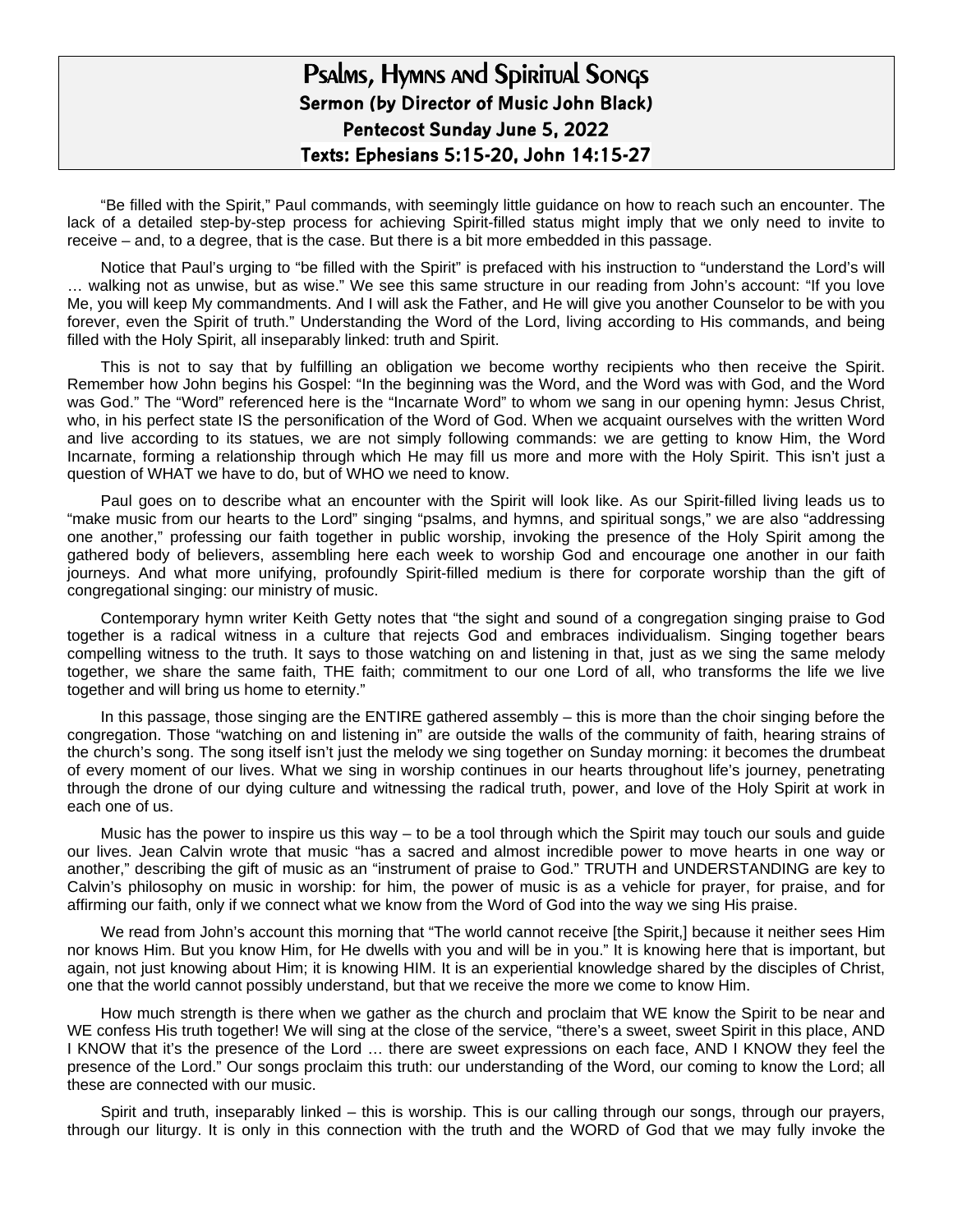## Psalms, Hymns and Spiritual Songs **Sermon (by Director of Music John Black) Pentecost Sunday June 5, 2022 Texts: Ephesians 5:15-20, John 14:15-27**

"Be filled with the Spirit," Paul commands, with seemingly little guidance on how to reach such an encounter. The lack of a detailed step-by-step process for achieving Spirit-filled status might imply that we only need to invite to receive – and, to a degree, that is the case. But there is a bit more embedded in this passage.

Notice that Paul's urging to "be filled with the Spirit" is prefaced with his instruction to "understand the Lord's will … walking not as unwise, but as wise." We see this same structure in our reading from John's account: "If you love Me, you will keep My commandments. And I will ask the Father, and He will give you another Counselor to be with you forever, even the Spirit of truth." Understanding the Word of the Lord, living according to His commands, and being filled with the Holy Spirit, all inseparably linked: truth and Spirit.

This is not to say that by fulfilling an obligation we become worthy recipients who then receive the Spirit. Remember how John begins his Gospel: "In the beginning was the Word, and the Word was with God, and the Word was God." The "Word" referenced here is the "Incarnate Word" to whom we sang in our opening hymn: Jesus Christ, who, in his perfect state IS the personification of the Word of God. When we acquaint ourselves with the written Word and live according to its statues, we are not simply following commands: we are getting to know Him, the Word Incarnate, forming a relationship through which He may fill us more and more with the Holy Spirit. This isn't just a question of WHAT we have to do, but of WHO we need to know.

Paul goes on to describe what an encounter with the Spirit will look like. As our Spirit-filled living leads us to "make music from our hearts to the Lord" singing "psalms, and hymns, and spiritual songs," we are also "addressing one another," professing our faith together in public worship, invoking the presence of the Holy Spirit among the gathered body of believers, assembling here each week to worship God and encourage one another in our faith journeys. And what more unifying, profoundly Spirit-filled medium is there for corporate worship than the gift of congregational singing: our ministry of music.

Contemporary hymn writer Keith Getty notes that "the sight and sound of a congregation singing praise to God together is a radical witness in a culture that rejects God and embraces individualism. Singing together bears compelling witness to the truth. It says to those watching on and listening in that, just as we sing the same melody together, we share the same faith, THE faith; commitment to our one Lord of all, who transforms the life we live together and will bring us home to eternity."

In this passage, those singing are the ENTIRE gathered assembly – this is more than the choir singing before the congregation. Those "watching on and listening in" are outside the walls of the community of faith, hearing strains of the church's song. The song itself isn't just the melody we sing together on Sunday morning: it becomes the drumbeat of every moment of our lives. What we sing in worship continues in our hearts throughout life's journey, penetrating through the drone of our dying culture and witnessing the radical truth, power, and love of the Holy Spirit at work in each one of us.

Music has the power to inspire us this way – to be a tool through which the Spirit may touch our souls and guide our lives. Jean Calvin wrote that music "has a sacred and almost incredible power to move hearts in one way or another," describing the gift of music as an "instrument of praise to God." TRUTH and UNDERSTANDING are key to Calvin's philosophy on music in worship: for him, the power of music is as a vehicle for prayer, for praise, and for affirming our faith, only if we connect what we know from the Word of God into the way we sing His praise.

We read from John's account this morning that "The world cannot receive [the Spirit,] because it neither sees Him nor knows Him. But you know Him, for He dwells with you and will be in you." It is knowing here that is important, but again, not just knowing about Him; it is knowing HIM. It is an experiential knowledge shared by the disciples of Christ, one that the world cannot possibly understand, but that we receive the more we come to know Him.

How much strength is there when we gather as the church and proclaim that WE know the Spirit to be near and WE confess His truth together! We will sing at the close of the service, "there's a sweet, sweet Spirit in this place, AND I KNOW that it's the presence of the Lord … there are sweet expressions on each face, AND I KNOW they feel the presence of the Lord." Our songs proclaim this truth: our understanding of the Word, our coming to know the Lord; all these are connected with our music.

Spirit and truth, inseparably linked – this is worship. This is our calling through our songs, through our prayers, through our liturgy. It is only in this connection with the truth and the WORD of God that we may fully invoke the